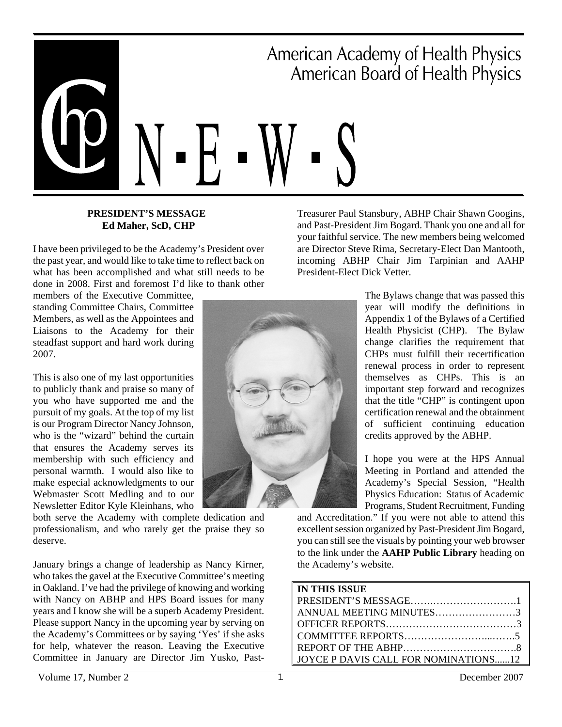

### **PRESIDENT'S MESSAGE Ed Maher, ScD, CHP**

I have been privileged to be the Academy's President over the past year, and would like to take time to reflect back on what has been accomplished and what still needs to be done in 2008. First and foremost I'd like to thank other

members of the Executive Committee, standing Committee Chairs, Committee Members, as well as the Appointees and Liaisons to the Academy for their steadfast support and hard work during 2007.

This is also one of my last opportunities to publicly thank and praise so many of you who have supported me and the pursuit of my goals. At the top of my list is our Program Director Nancy Johnson, who is the "wizard" behind the curtain that ensures the Academy serves its membership with such efficiency and personal warmth. I would also like to make especial acknowledgments to our Webmaster Scott Medling and to our Newsletter Editor Kyle Kleinhans, who

both serve the Academy with complete dedication and professionalism, and who rarely get the praise they so deserve.

January brings a change of leadership as Nancy Kirner, who takes the gavel at the Executive Committee's meeting in Oakland. I've had the privilege of knowing and working with Nancy on ABHP and HPS Board issues for many years and I know she will be a superb Academy President. Please support Nancy in the upcoming year by serving on the Academy's Committees or by saying 'Yes' if she asks for help, whatever the reason. Leaving the Executive Committee in January are Director Jim Yusko, PastTreasurer Paul Stansbury, ABHP Chair Shawn Googins, and Past-President Jim Bogard. Thank you one and all for your faithful service. The new members being welcomed are Director Steve Rima, Secretary-Elect Dan Mantooth, incoming ABHP Chair Jim Tarpinian and AAHP President-Elect Dick Vetter.



The Bylaws change that was passed this year will modify the definitions in Appendix 1 of the Bylaws of a Certified Health Physicist (CHP). The Bylaw change clarifies the requirement that CHPs must fulfill their recertification renewal process in order to represent themselves as CHPs. This is an important step forward and recognizes that the title "CHP" is contingent upon certification renewal and the obtainment of sufficient continuing education credits approved by the ABHP.

I hope you were at the HPS Annual Meeting in Portland and attended the Academy's Special Session, "Health Physics Education: Status of Academic Programs, Student Recruitment, Funding

and Accreditation." If you were not able to attend this excellent session organized by Past-President Jim Bogard, you can still see the visuals by pointing your web browser to the link under the **AAHP Public Library** heading on the Academy's website.

### **IN THIS ISSUE**

| ANNUAL MEETING MINUTES3              |  |
|--------------------------------------|--|
|                                      |  |
|                                      |  |
|                                      |  |
| JOYCE P DAVIS CALL FOR NOMINATIONS12 |  |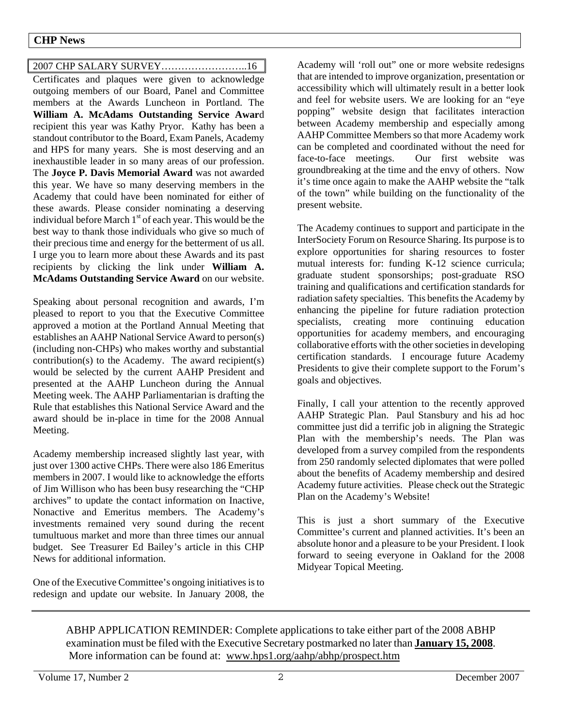### 2007 CHP SALARY SURVEY……………………..16

Certificates and plaques were given to acknowledge outgoing members of our Board, Panel and Committee members at the Awards Luncheon in Portland. The **William A. McAdams Outstanding Service Awar**d recipient this year was Kathy Pryor. Kathy has been a standout contributor to the Board, Exam Panels, Academy and HPS for many years. She is most deserving and an inexhaustible leader in so many areas of our profession. The **Joyce P. Davis Memorial Award** was not awarded this year. We have so many deserving members in the Academy that could have been nominated for either of these awards. Please consider nominating a deserving individual before March  $1<sup>st</sup>$  of each year. This would be the best way to thank those individuals who give so much of their precious time and energy for the betterment of us all. I urge you to learn more about these Awards and its past recipients by clicking the link under **William A. McAdams Outstanding Service Award** on our website.

Speaking about personal recognition and awards, I'm pleased to report to you that the Executive Committee approved a motion at the Portland Annual Meeting that establishes an AAHP National Service Award to person(s) (including non-CHPs) who makes worthy and substantial contribution(s) to the Academy. The award recipient(s) would be selected by the current AAHP President and presented at the AAHP Luncheon during the Annual Meeting week. The AAHP Parliamentarian is drafting the Rule that establishes this National Service Award and the award should be in-place in time for the 2008 Annual Meeting.

Academy membership increased slightly last year, with just over 1300 active CHPs. There were also 186 Emeritus members in 2007. I would like to acknowledge the efforts of Jim Willison who has been busy researching the "CHP archives" to update the contact information on Inactive, Nonactive and Emeritus members. The Academy's investments remained very sound during the recent tumultuous market and more than three times our annual budget. See Treasurer Ed Bailey's article in this CHP News for additional information.

One of the Executive Committee's ongoing initiatives is to redesign and update our website. In January 2008, the Academy will 'roll out" one or more website redesigns that are intended to improve organization, presentation or accessibility which will ultimately result in a better look and feel for website users. We are looking for an "eye popping" website design that facilitates interaction between Academy membership and especially among AAHP Committee Members so that more Academy work can be completed and coordinated without the need for face-to-face meetings. Our first website was groundbreaking at the time and the envy of others. Now it's time once again to make the AAHP website the "talk of the town" while building on the functionality of the present website.

The Academy continues to support and participate in the InterSociety Forum on Resource Sharing. Its purpose is to explore opportunities for sharing resources to foster mutual interests for: funding K-12 science curricula; graduate student sponsorships; post-graduate RSO training and qualifications and certification standards for radiation safety specialties. This benefits the Academy by enhancing the pipeline for future radiation protection specialists, creating more continuing education opportunities for academy members, and encouraging collaborative efforts with the other societies in developing certification standards. I encourage future Academy Presidents to give their complete support to the Forum's goals and objectives.

Finally, I call your attention to the recently approved AAHP Strategic Plan. Paul Stansbury and his ad hoc committee just did a terrific job in aligning the Strategic Plan with the membership's needs. The Plan was developed from a survey compiled from the respondents from 250 randomly selected diplomates that were polled about the benefits of Academy membership and desired Academy future activities. Please check out the Strategic Plan on the Academy's Website!

This is just a short summary of the Executive Committee's current and planned activities. It's been an absolute honor and a pleasure to be your President. I look forward to seeing everyone in Oakland for the 2008 Midyear Topical Meeting.

ABHP APPLICATION REMINDER: Complete applications to take either part of the 2008 ABHP examination must be filed with the Executive Secretary postmarked no later than **January 15, 2008**. More information can be found at: www.hps1.org/aahp/abhp/prospect.htm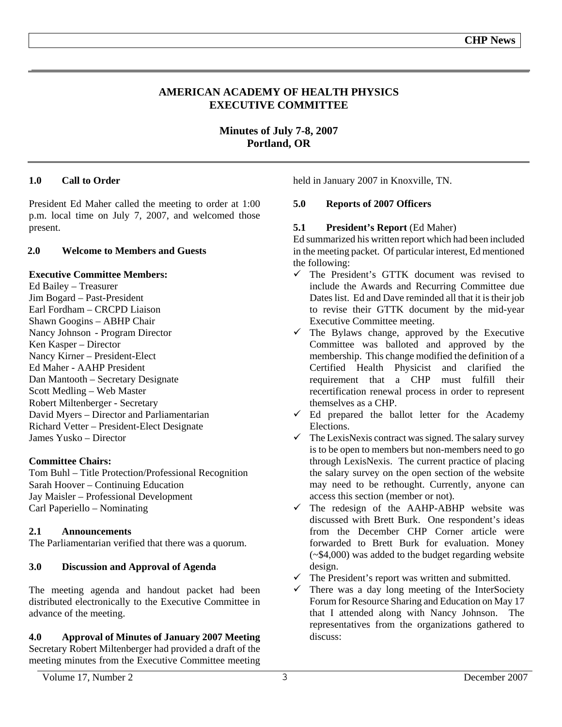### **AMERICAN ACADEMY OF HEALTH PHYSICS EXECUTIVE COMMITTEE**

**Minutes of July 7-8, 2007 Portland, OR** 

### **1.0 Call to Order**

President Ed Maher called the meeting to order at 1:00 p.m. local time on July 7, 2007, and welcomed those present.

### **2.0 Welcome to Members and Guests**

### **Executive Committee Members:**

Ed Bailey – Treasurer Jim Bogard – Past-President Earl Fordham – CRCPD Liaison Shawn Googins – ABHP Chair Nancy Johnson - Program Director Ken Kasper – Director Nancy Kirner – President-Elect Ed Maher - AAHP President Dan Mantooth – Secretary Designate Scott Medling – Web Master Robert Miltenberger - Secretary David Myers – Director and Parliamentarian Richard Vetter – President-Elect Designate James Yusko – Director

### **Committee Chairs:**

Tom Buhl – Title Protection/Professional Recognition Sarah Hoover – Continuing Education Jay Maisler – Professional Development Carl Paperiello – Nominating

### **2.1 Announcements**

The Parliamentarian verified that there was a quorum.

### **3.0 Discussion and Approval of Agenda**

The meeting agenda and handout packet had been distributed electronically to the Executive Committee in advance of the meeting.

### **4.0 Approval of Minutes of January 2007 Meeting**

Secretary Robert Miltenberger had provided a draft of the meeting minutes from the Executive Committee meeting held in January 2007 in Knoxville, TN.

### **5.0 Reports of 2007 Officers**

### **5.1 President's Report** (Ed Maher)

Ed summarized his written report which had been included in the meeting packet. Of particular interest, Ed mentioned the following:

- $\checkmark$  The President's GTTK document was revised to include the Awards and Recurring Committee due Dates list. Ed and Dave reminded all that it is their job to revise their GTTK document by the mid-year Executive Committee meeting.
- $\checkmark$  The Bylaws change, approved by the Executive Committee was balloted and approved by the membership. This change modified the definition of a Certified Health Physicist and clarified the requirement that a CHP must fulfill their recertification renewal process in order to represent themselves as a CHP.
- $\checkmark$  Ed prepared the ballot letter for the Academy Elections.
- $\checkmark$  The LexisNexis contract was signed. The salary survey is to be open to members but non-members need to go through LexisNexis. The current practice of placing the salary survey on the open section of the website may need to be rethought. Currently, anyone can access this section (member or not).
- $\checkmark$  The redesign of the AAHP-ABHP website was discussed with Brett Burk. One respondent's ideas from the December CHP Corner article were forwarded to Brett Burk for evaluation. Money (~\$4,000) was added to the budget regarding website design.
- $\checkmark$  The President's report was written and submitted.
- $\checkmark$  There was a day long meeting of the InterSociety Forum for Resource Sharing and Education on May 17 that I attended along with Nancy Johnson. The representatives from the organizations gathered to discuss: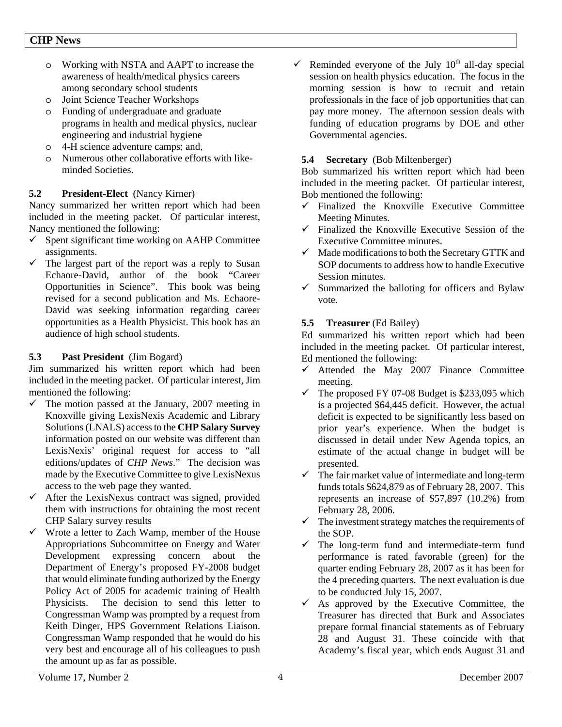- o Working with NSTA and AAPT to increase the awareness of health/medical physics careers among secondary school students
- o Joint Science Teacher Workshops
- o Funding of undergraduate and graduate programs in health and medical physics, nuclear engineering and industrial hygiene
- o 4-H science adventure camps; and,
- o Numerous other collaborative efforts with likeminded Societies.

### **5.2 President-Elect** (Nancy Kirner)

Nancy summarized her written report which had been included in the meeting packet. Of particular interest, Nancy mentioned the following:

- Spent significant time working on AAHP Committee assignments.
- $\checkmark$  The largest part of the report was a reply to Susan Echaore-David, author of the book "Career Opportunities in Science". This book was being revised for a second publication and Ms. Echaore-David was seeking information regarding career opportunities as a Health Physicist. This book has an audience of high school students.

### **5.3 Past President** (Jim Bogard)

Jim summarized his written report which had been included in the meeting packet. Of particular interest, Jim mentioned the following:

- $\checkmark$  The motion passed at the January, 2007 meeting in Knoxville giving LexisNexis Academic and Library Solutions (LNALS) access to the **CHP Salary Survey** information posted on our website was different than LexisNexis' original request for access to "all editions/updates of *CHP News*." The decision was made by the Executive Committee to give LexisNexus access to the web page they wanted.
- $\checkmark$  After the LexisNexus contract was signed, provided them with instructions for obtaining the most recent CHP Salary survey results
- Wrote a letter to Zach Wamp, member of the House Appropriations Subcommittee on Energy and Water Development expressing concern about the Department of Energy's proposed FY-2008 budget that would eliminate funding authorized by the Energy Policy Act of 2005 for academic training of Health Physicists. The decision to send this letter to Congressman Wamp was prompted by a request from Keith Dinger, HPS Government Relations Liaison. Congressman Wamp responded that he would do his very best and encourage all of his colleagues to push the amount up as far as possible.

Reminded everyone of the July  $10<sup>th</sup>$  all-day special session on health physics education. The focus in the morning session is how to recruit and retain professionals in the face of job opportunities that can pay more money. The afternoon session deals with funding of education programs by DOE and other Governmental agencies.

### **5.4 Secretary** (Bob Miltenberger)

Bob summarized his written report which had been included in the meeting packet. Of particular interest, Bob mentioned the following:

- $\checkmark$  Finalized the Knoxville Executive Committee Meeting Minutes.
- $\checkmark$  Finalized the Knoxville Executive Session of the Executive Committee minutes.
- $\checkmark$  Made modifications to both the Secretary GTTK and SOP documents to address how to handle Executive Session minutes.
- $\checkmark$  Summarized the balloting for officers and Bylaw vote.

### **5.5 Treasurer** (Ed Bailey)

Ed summarized his written report which had been included in the meeting packet. Of particular interest, Ed mentioned the following:

- $\checkmark$  Attended the May 2007 Finance Committee meeting.
- $\checkmark$  The proposed FY 07-08 Budget is \$233,095 which is a projected \$64,445 deficit. However, the actual deficit is expected to be significantly less based on prior year's experience. When the budget is discussed in detail under New Agenda topics, an estimate of the actual change in budget will be presented.
- $\checkmark$  The fair market value of intermediate and long-term funds totals \$624,879 as of February 28, 2007. This represents an increase of \$57,897 (10.2%) from February 28, 2006.
- $\checkmark$  The investment strategy matches the requirements of the SOP.
- $\checkmark$  The long-term fund and intermediate-term fund performance is rated favorable (green) for the quarter ending February 28, 2007 as it has been for the 4 preceding quarters. The next evaluation is due to be conducted July 15, 2007.
- $\checkmark$  As approved by the Executive Committee, the Treasurer has directed that Burk and Associates prepare formal financial statements as of February 28 and August 31. These coincide with that Academy's fiscal year, which ends August 31 and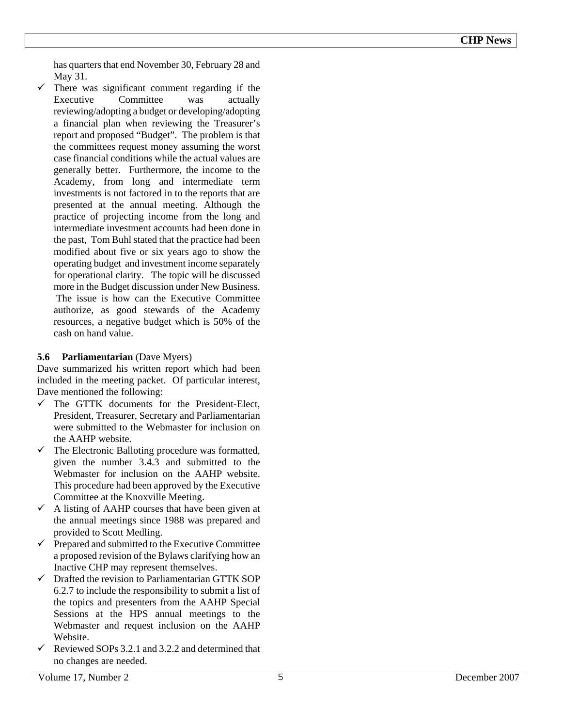has quarters that end November 30, February 28 and May 31.

 $\checkmark$  There was significant comment regarding if the Executive Committee was actually reviewing/adopting a budget or developing/adopting a financial plan when reviewing the Treasurer's report and proposed "Budget". The problem is that the committees request money assuming the worst case financial conditions while the actual values are generally better. Furthermore, the income to the Academy, from long and intermediate term investments is not factored in to the reports that are presented at the annual meeting. Although the practice of projecting income from the long and intermediate investment accounts had been done in the past, Tom Buhl stated that the practice had been modified about five or six years ago to show the operating budget and investment income separately for operational clarity. The topic will be discussed more in the Budget discussion under New Business. The issue is how can the Executive Committee authorize, as good stewards of the Academy resources, a negative budget which is 50% of the cash on hand value.

### **5.6 Parliamentarian** (Dave Myers)

Dave summarized his written report which had been included in the meeting packet. Of particular interest, Dave mentioned the following:

- $\checkmark$  The GTTK documents for the President-Elect, President, Treasurer, Secretary and Parliamentarian were submitted to the Webmaster for inclusion on the AAHP website.
- $\checkmark$  The Electronic Balloting procedure was formatted, given the number 3.4.3 and submitted to the Webmaster for inclusion on the AAHP website. This procedure had been approved by the Executive Committee at the Knoxville Meeting.
- $\checkmark$  A listing of AAHP courses that have been given at the annual meetings since 1988 was prepared and provided to Scott Medling.
- $\checkmark$  Prepared and submitted to the Executive Committee a proposed revision of the Bylaws clarifying how an Inactive CHP may represent themselves.
- $\checkmark$  Drafted the revision to Parliamentarian GTTK SOP 6.2.7 to include the responsibility to submit a list of the topics and presenters from the AAHP Special Sessions at the HPS annual meetings to the Webmaster and request inclusion on the AAHP Website.
- $\checkmark$  Reviewed SOPs 3.2.1 and 3.2.2 and determined that no changes are needed.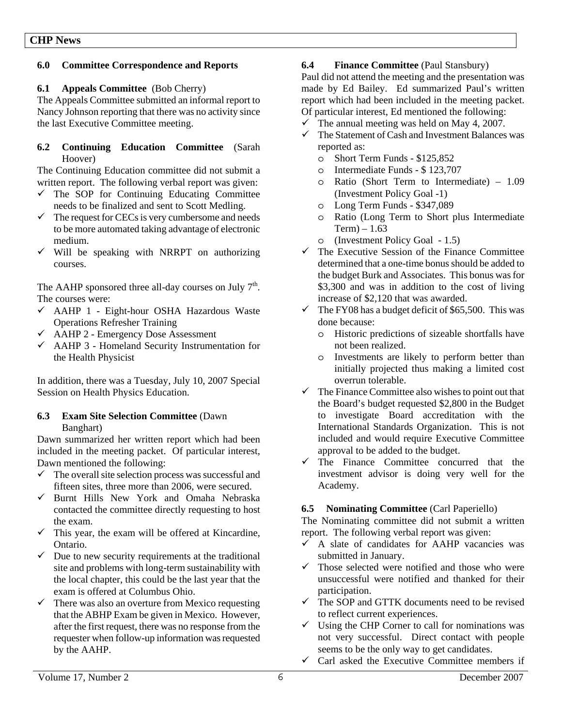### **6.0 Committee Correspondence and Reports**

### **6.1 Appeals Committee** (Bob Cherry)

The Appeals Committee submitted an informal report to Nancy Johnson reporting that there was no activity since the last Executive Committee meeting.

### **6.2 Continuing Education Committee** (Sarah Hoover)

The Continuing Education committee did not submit a written report. The following verbal report was given:

- $\checkmark$  The SOP for Continuing Educating Committee needs to be finalized and sent to Scott Medling.
- $\checkmark$  The request for CECs is very cumbersome and needs to be more automated taking advantage of electronic medium.
- $\checkmark$  Will be speaking with NRRPT on authorizing courses.

The AAHP sponsored three all-day courses on July  $7<sup>th</sup>$ . The courses were:

- $\checkmark$  AAHP 1 Eight-hour OSHA Hazardous Waste Operations Refresher Training
- $\checkmark$  AAHP 2 Emergency Dose Assessment
- $\checkmark$  AAHP 3 Homeland Security Instrumentation for the Health Physicist

In addition, there was a Tuesday, July 10, 2007 Special Session on Health Physics Education.

### **6.3 Exam Site Selection Committee** (Dawn Banghart)

Dawn summarized her written report which had been included in the meeting packet. Of particular interest, Dawn mentioned the following:

- $\checkmark$  The overall site selection process was successful and fifteen sites, three more than 2006, were secured.
- $\checkmark$  Burnt Hills New York and Omaha Nebraska contacted the committee directly requesting to host the exam.
- $\checkmark$  This year, the exam will be offered at Kincardine, Ontario.
- $\checkmark$  Due to new security requirements at the traditional site and problems with long-term sustainability with the local chapter, this could be the last year that the exam is offered at Columbus Ohio.
- $\checkmark$  There was also an overture from Mexico requesting that the ABHP Exam be given in Mexico. However, after the first request, there was no response from the requester when follow-up information was requested by the AAHP.

### **6.4 Finance Committee** (Paul Stansbury)

Paul did not attend the meeting and the presentation was made by Ed Bailey. Ed summarized Paul's written report which had been included in the meeting packet. Of particular interest, Ed mentioned the following:

- $\checkmark$  The annual meeting was held on May 4, 2007.
- $\checkmark$  The Statement of Cash and Investment Balances was reported as:
	- o Short Term Funds \$125,852
	- o Intermediate Funds \$ 123,707
	- o Ratio (Short Term to Intermediate) 1.09 (Investment Policy Goal -1)
	- o Long Term Funds \$347,089
	- o Ratio (Long Term to Short plus Intermediate  $Term - 1.63$
	- o (Investment Policy Goal 1.5)
- $\checkmark$  The Executive Session of the Finance Committee determined that a one-time bonus should be added to the budget Burk and Associates. This bonus was for \$3,300 and was in addition to the cost of living increase of \$2,120 that was awarded.
- $\checkmark$  The FY08 has a budget deficit of \$65,500. This was done because:
	- o Historic predictions of sizeable shortfalls have not been realized.
	- o Investments are likely to perform better than initially projected thus making a limited cost overrun tolerable.
- $\checkmark$  The Finance Committee also wishes to point out that the Board's budget requested \$2,800 in the Budget to investigate Board accreditation with the International Standards Organization. This is not included and would require Executive Committee approval to be added to the budget.
- $\checkmark$  The Finance Committee concurred that the investment advisor is doing very well for the Academy.

### **6.5 Nominating Committee** (Carl Paperiello)

The Nominating committee did not submit a written report. The following verbal report was given:

- $\checkmark$  A slate of candidates for AAHP vacancies was submitted in January.
- $\checkmark$  Those selected were notified and those who were unsuccessful were notified and thanked for their participation.
- $\checkmark$  The SOP and GTTK documents need to be revised to reflect current experiences.
- $\checkmark$  Using the CHP Corner to call for nominations was not very successful. Direct contact with people seems to be the only way to get candidates.
- $\checkmark$  Carl asked the Executive Committee members if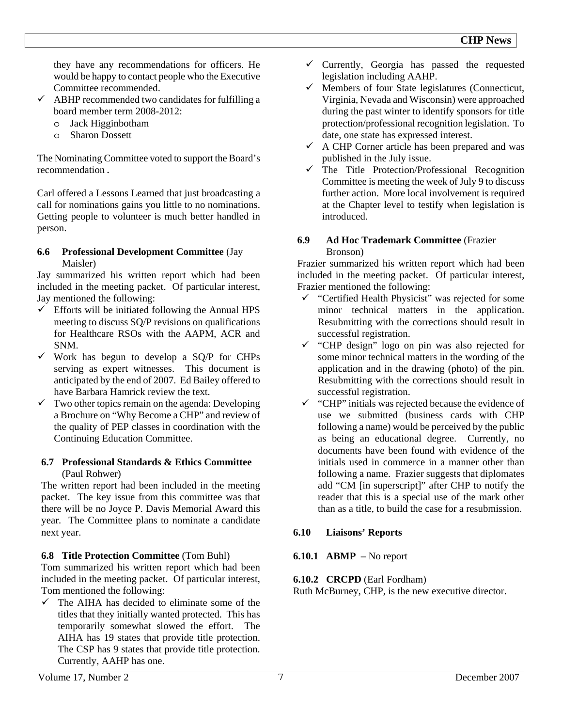they have any recommendations for officers. He would be happy to contact people who the Executive Committee recommended.

- $\checkmark$  ABHP recommended two candidates for fulfilling a board member term 2008-2012:
	- o Jack Higginbotham
	- o Sharon Dossett

The Nominating Committee voted to support the Board's recommendation.

Carl offered a Lessons Learned that just broadcasting a call for nominations gains you little to no nominations. Getting people to volunteer is much better handled in person.

### **6.6 Professional Development Committee** (Jay Maisler)

Jay summarized his written report which had been included in the meeting packet. Of particular interest, Jay mentioned the following:

- $\checkmark$  Efforts will be initiated following the Annual HPS meeting to discuss SQ/P revisions on qualifications for Healthcare RSOs with the AAPM, ACR and SNM.
- $\checkmark$  Work has begun to develop a SQ/P for CHPs serving as expert witnesses. This document is anticipated by the end of 2007. Ed Bailey offered to have Barbara Hamrick review the text.
- $\checkmark$  Two other topics remain on the agenda: Developing a Brochure on "Why Become a CHP" and review of the quality of PEP classes in coordination with the Continuing Education Committee.

### **6.7 Professional Standards & Ethics Committee**  (Paul Rohwer)

The written report had been included in the meeting packet. The key issue from this committee was that there will be no Joyce P. Davis Memorial Award this year. The Committee plans to nominate a candidate next year.

### **6.8 Title Protection Committee** (Tom Buhl)

Tom summarized his written report which had been included in the meeting packet. Of particular interest, Tom mentioned the following:

 $\checkmark$  The AIHA has decided to eliminate some of the titles that they initially wanted protected. This has temporarily somewhat slowed the effort. The AIHA has 19 states that provide title protection. The CSP has 9 states that provide title protection. Currently, AAHP has one.

- $\checkmark$  Currently, Georgia has passed the requested legislation including AAHP.
- $\checkmark$  Members of four State legislatures (Connecticut, Virginia, Nevada and Wisconsin) were approached during the past winter to identify sponsors for title protection/professional recognition legislation. To date, one state has expressed interest.
- $\checkmark$  A CHP Corner article has been prepared and was published in the July issue.
- The Title Protection/Professional Recognition Committee is meeting the week of July 9 to discuss further action. More local involvement is required at the Chapter level to testify when legislation is introduced.

### **6.9 Ad Hoc Trademark Committee** (Frazier Bronson)

Frazier summarized his written report which had been included in the meeting packet. Of particular interest, Frazier mentioned the following:

- $\checkmark$  "Certified Health Physicist" was rejected for some minor technical matters in the application. Resubmitting with the corrections should result in successful registration.
- $\checkmark$  "CHP design" logo on pin was also rejected for some minor technical matters in the wording of the application and in the drawing (photo) of the pin. Resubmitting with the corrections should result in successful registration.
- $\checkmark$  "CHP" initials was rejected because the evidence of use we submitted (business cards with CHP following a name) would be perceived by the public as being an educational degree. Currently, no documents have been found with evidence of the initials used in commerce in a manner other than following a name. Frazier suggests that diplomates add "CM [in superscript]" after CHP to notify the reader that this is a special use of the mark other than as a title, to build the case for a resubmission.

# **6.10 Liaisons' Reports**

# **6.10.1 ABMP –** No report

# **6.10.2 CRCPD** (Earl Fordham)

Ruth McBurney, CHP, is the new executive director.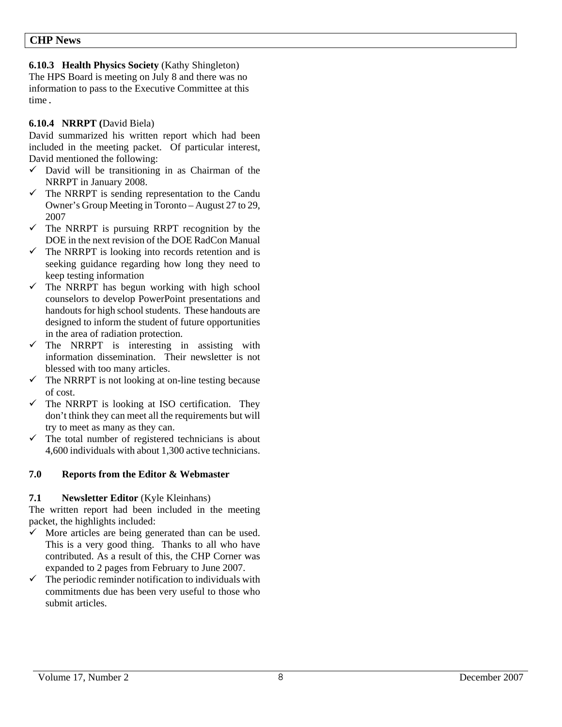**6.10.3 Health Physics Society** (Kathy Shingleton)

The HPS Board is meeting on July 8 and there was no information to pass to the Executive Committee at this time.

### **6.10.4 NRRPT (**David Biela)

David summarized his written report which had been included in the meeting packet. Of particular interest, David mentioned the following:

- $\checkmark$  David will be transitioning in as Chairman of the NRRPT in January 2008.
- $\checkmark$  The NRRPT is sending representation to the Candu Owner's Group Meeting in Toronto – August 27 to 29, 2007
- $\checkmark$  The NRRPT is pursuing RRPT recognition by the DOE in the next revision of the DOE RadCon Manual
- $\checkmark$  The NRRPT is looking into records retention and is seeking guidance regarding how long they need to keep testing information
- $\checkmark$  The NRRPT has begun working with high school counselors to develop PowerPoint presentations and handouts for high school students. These handouts are designed to inform the student of future opportunities in the area of radiation protection.
- $\checkmark$  The NRRPT is interesting in assisting with information dissemination. Their newsletter is not blessed with too many articles.
- $\checkmark$  The NRRPT is not looking at on-line testing because of cost.
- $\checkmark$  The NRRPT is looking at ISO certification. They don't think they can meet all the requirements but will try to meet as many as they can.
- $\checkmark$  The total number of registered technicians is about 4,600 individuals with about 1,300 active technicians.

### **7.0 Reports from the Editor & Webmaster**

### **7.1** Newsletter Editor *(Kyle Kleinhans)*

The written report had been included in the meeting packet, the highlights included:

- $\checkmark$  More articles are being generated than can be used. This is a very good thing. Thanks to all who have contributed. As a result of this, the CHP Corner was expanded to 2 pages from February to June 2007.
- $\checkmark$  The periodic reminder notification to individuals with commitments due has been very useful to those who submit articles.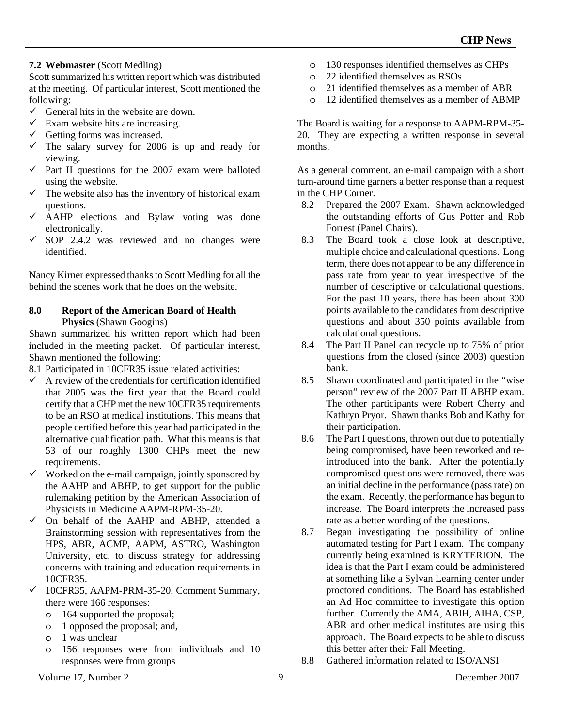### **7.2 Webmaster** (Scott Medling)

Scott summarized his written report which was distributed at the meeting. Of particular interest, Scott mentioned the following:

- $\checkmark$  General hits in the website are down.
- $\checkmark$  Exam website hits are increasing.
- $\checkmark$  Getting forms was increased.
- $\checkmark$  The salary survey for 2006 is up and ready for viewing.
- $\checkmark$  Part II questions for the 2007 exam were balloted using the website.
- $\checkmark$  The website also has the inventory of historical exam questions.
- $\checkmark$  AAHP elections and Bylaw voting was done electronically.
- $\checkmark$  SOP 2.4.2 was reviewed and no changes were identified.

Nancy Kirner expressed thanks to Scott Medling for all the behind the scenes work that he does on the website.

### **8.0 Report of the American Board of Health Physics** (Shawn Googins)

Shawn summarized his written report which had been included in the meeting packet. Of particular interest, Shawn mentioned the following:

- 8.1 Participated in 10CFR35 issue related activities:
- $\checkmark$  A review of the credentials for certification identified that 2005 was the first year that the Board could certify that a CHP met the new 10CFR35 requirements to be an RSO at medical institutions. This means that people certified before this year had participated in the alternative qualification path. What this means is that 53 of our roughly 1300 CHPs meet the new requirements.
- Worked on the e-mail campaign, jointly sponsored by the AAHP and ABHP, to get support for the public rulemaking petition by the American Association of Physicists in Medicine AAPM-RPM-35-20.
- $\checkmark$  On behalf of the AAHP and ABHP, attended a Brainstorming session with representatives from the HPS, ABR, ACMP, AAPM, ASTRO, Washington University, etc. to discuss strategy for addressing concerns with training and education requirements in 10CFR35.
- 9 10CFR35, AAPM-PRM-35-20, Comment Summary, there were 166 responses:
	- o 164 supported the proposal;
	- o 1 opposed the proposal; and,
	- o 1 was unclear
	- o 156 responses were from individuals and 10 responses were from groups
- o 130 responses identified themselves as CHPs
- o 22 identified themselves as RSOs
- o 21 identified themselves as a member of ABR
- o 12 identified themselves as a member of ABMP

The Board is waiting for a response to AAPM-RPM-35- 20. They are expecting a written response in several months.

As a general comment, an e-mail campaign with a short turn-around time garners a better response than a request in the CHP Corner.

- 8.2 Prepared the 2007 Exam. Shawn acknowledged the outstanding efforts of Gus Potter and Rob Forrest (Panel Chairs).
- 8.3 The Board took a close look at descriptive, multiple choice and calculational questions. Long term, there does not appear to be any difference in pass rate from year to year irrespective of the number of descriptive or calculational questions. For the past 10 years, there has been about 300 points available to the candidates from descriptive questions and about 350 points available from calculational questions.
- 8.4 The Part II Panel can recycle up to 75% of prior questions from the closed (since 2003) question bank.
- 8.5 Shawn coordinated and participated in the "wise person" review of the 2007 Part II ABHP exam. The other participants were Robert Cherry and Kathryn Pryor. Shawn thanks Bob and Kathy for their participation.
- 8.6 The Part I questions, thrown out due to potentially being compromised, have been reworked and reintroduced into the bank. After the potentially compromised questions were removed, there was an initial decline in the performance (pass rate) on the exam. Recently, the performance has begun to increase. The Board interprets the increased pass rate as a better wording of the questions.
- 8.7 Began investigating the possibility of online automated testing for Part I exam. The company currently being examined is KRYTERION. The idea is that the Part I exam could be administered at something like a Sylvan Learning center under proctored conditions. The Board has established an Ad Hoc committee to investigate this option further. Currently the AMA, ABIH, AIHA, CSP, ABR and other medical institutes are using this approach. The Board expects to be able to discuss this better after their Fall Meeting.
- 8.8 Gathered information related to ISO/ANSI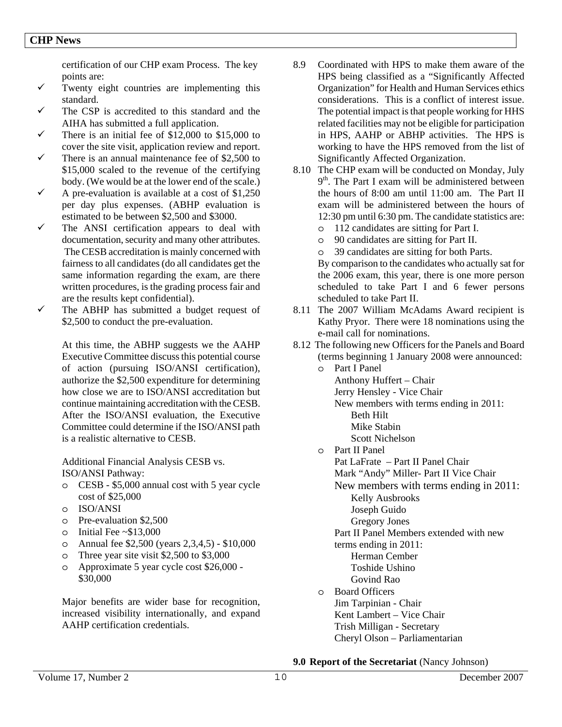certification of our CHP exam Process. The key points are:

- $\checkmark$  Twenty eight countries are implementing this standard.
- $\checkmark$  The CSP is accredited to this standard and the AIHA has submitted a full application.
- $\checkmark$  There is an initial fee of \$12,000 to \$15,000 to cover the site visit, application review and report.
- $\checkmark$  There is an annual maintenance fee of \$2,500 to \$15,000 scaled to the revenue of the certifying body. (We would be at the lower end of the scale.)
- $\checkmark$  A pre-evaluation is available at a cost of \$1,250 per day plus expenses. (ABHP evaluation is estimated to be between \$2,500 and \$3000.
- $\checkmark$  The ANSI certification appears to deal with documentation, security and many other attributes. The CESB accreditation is mainly concerned with fairness to all candidates (do all candidates get the same information regarding the exam, are there written procedures, is the grading process fair and are the results kept confidential).
- $\checkmark$  The ABHP has submitted a budget request of \$2,500 to conduct the pre-evaluation.

At this time, the ABHP suggests we the AAHP Executive Committee discuss this potential course of action (pursuing ISO/ANSI certification), authorize the \$2,500 expenditure for determining how close we are to ISO/ANSI accreditation but continue maintaining accreditation with the CESB. After the ISO/ANSI evaluation, the Executive Committee could determine if the ISO/ANSI path is a realistic alternative to CESB.

Additional Financial Analysis CESB vs. ISO/ANSI Pathway:

- o CESB \$5,000 annual cost with 5 year cycle cost of \$25,000
- o ISO/ANSI
- o Pre-evaluation \$2,500
- $\circ$  Initial Fee ~\$13,000
- o Annual fee \$2,500 (years 2,3,4,5) \$10,000
- o Three year site visit \$2,500 to \$3,000
- o Approximate 5 year cycle cost \$26,000 \$30,000

Major benefits are wider base for recognition, increased visibility internationally, and expand AAHP certification credentials.

- 8.9 Coordinated with HPS to make them aware of the HPS being classified as a "Significantly Affected Organization" for Health and Human Services ethics considerations. This is a conflict of interest issue. The potential impact is that people working for HHS related facilities may not be eligible for participation in HPS, AAHP or ABHP activities. The HPS is working to have the HPS removed from the list of Significantly Affected Organization.
- 8.10 The CHP exam will be conducted on Monday, July  $9<sup>th</sup>$ . The Part I exam will be administered between the hours of 8:00 am until 11:00 am. The Part II exam will be administered between the hours of 12:30 pm until 6:30 pm. The candidate statistics are:
	- o 112 candidates are sitting for Part I.
	- o 90 candidates are sitting for Part II.
	- o 39 candidates are sitting for both Parts.

By comparison to the candidates who actually sat for the 2006 exam, this year, there is one more person scheduled to take Part I and 6 fewer persons scheduled to take Part II.

- 8.11 The 2007 William McAdams Award recipient is Kathy Pryor. There were 18 nominations using the e-mail call for nominations.
- 8.12 The following new Officers for the Panels and Board (terms beginning 1 January 2008 were announced:
	- o Part I Panel Anthony Huffert – Chair Jerry Hensley - Vice Chair New members with terms ending in 2011: Beth Hilt Mike Stabin Scott Nichelson o Part II Panel
		- Pat LaFrate Part II Panel Chair Mark "Andy" Miller- Part II Vice Chair New members with terms ending in 2011: Kelly Ausbrooks Joseph Guido Gregory Jones Part II Panel Members extended with new terms ending in 2011: Herman Cember Toshide Ushino
	- Govind Rao o Board Officers Jim Tarpinian - Chair Kent Lambert – Vice Chair Trish Milligan - Secretary Cheryl Olson – Parliamentarian

**9.0 Report of the Secretariat** (Nancy Johnson)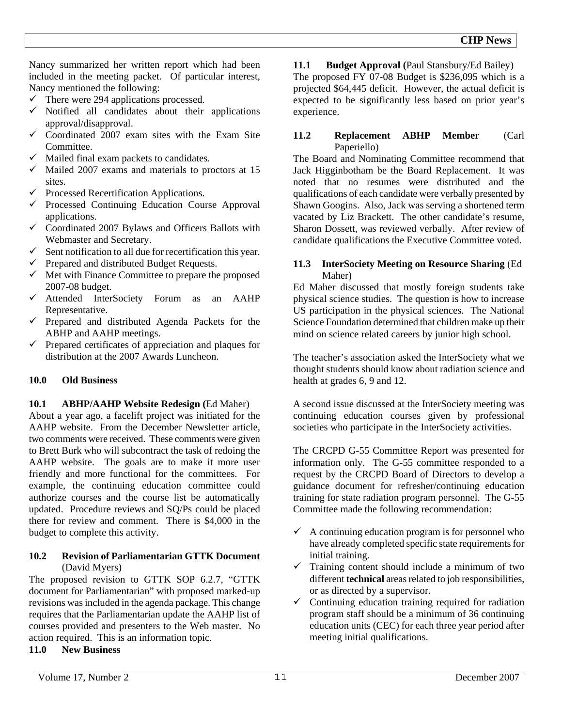Nancy summarized her written report which had been included in the meeting packet. Of particular interest, Nancy mentioned the following:

- $\checkmark$  There were 294 applications processed.
- $\checkmark$  Notified all candidates about their applications approval/disapproval.
- $\checkmark$  Coordinated 2007 exam sites with the Exam Site Committee.
- $\checkmark$  Mailed final exam packets to candidates.
- $\checkmark$  Mailed 2007 exams and materials to proctors at 15 sites.
- $\checkmark$  Processed Recertification Applications.
- $\checkmark$  Processed Continuing Education Course Approval applications.
- $\checkmark$  Coordinated 2007 Bylaws and Officers Ballots with Webmaster and Secretary.
- $\checkmark$  Sent notification to all due for recertification this year.
- $\checkmark$  Prepared and distributed Budget Requests.
- $\checkmark$  Met with Finance Committee to prepare the proposed 2007-08 budget.
- $\checkmark$  Attended InterSociety Forum as an AAHP Representative.
- $\checkmark$  Prepared and distributed Agenda Packets for the ABHP and AAHP meetings.
- $\checkmark$  Prepared certificates of appreciation and plaques for distribution at the 2007 Awards Luncheon.

### **10.0 Old Business**

### **10.1 ABHP/AAHP Website Redesign (**Ed Maher)

About a year ago, a facelift project was initiated for the AAHP website. From the December Newsletter article, two comments were received. These comments were given to Brett Burk who will subcontract the task of redoing the AAHP website. The goals are to make it more user friendly and more functional for the committees. For example, the continuing education committee could authorize courses and the course list be automatically updated. Procedure reviews and SQ/Ps could be placed there for review and comment. There is \$4,000 in the budget to complete this activity.

### **10.2 Revision of Parliamentarian GTTK Document**  (David Myers)

The proposed revision to GTTK SOP 6.2.7, "GTTK document for Parliamentarian" with proposed marked-up revisions was included in the agenda package. This change requires that the Parliamentarian update the AAHP list of courses provided and presenters to the Web master. No action required. This is an information topic. **11.0 New Business** 

# **11.1 Budget Approval (**Paul Stansbury/Ed Bailey)

The proposed FY 07-08 Budget is \$236,095 which is a projected \$64,445 deficit. However, the actual deficit is expected to be significantly less based on prior year's experience.

### **11.2 Replacement ABHP Member** (Carl Paperiello)

The Board and Nominating Committee recommend that Jack Higginbotham be the Board Replacement. It was noted that no resumes were distributed and the qualifications of each candidate were verbally presented by Shawn Googins. Also, Jack was serving a shortened term vacated by Liz Brackett. The other candidate's resume, Sharon Dossett, was reviewed verbally. After review of candidate qualifications the Executive Committee voted.

### **11.3 InterSociety Meeting on Resource Sharing** (Ed Maher)

Ed Maher discussed that mostly foreign students take physical science studies. The question is how to increase US participation in the physical sciences. The National Science Foundation determined that children make up their mind on science related careers by junior high school.

The teacher's association asked the InterSociety what we thought students should know about radiation science and health at grades 6, 9 and 12.

A second issue discussed at the InterSociety meeting was continuing education courses given by professional societies who participate in the InterSociety activities.

The CRCPD G-55 Committee Report was presented for information only. The G-55 committee responded to a request by the CRCPD Board of Directors to develop a guidance document for refresher/continuing education training for state radiation program personnel. The G-55 Committee made the following recommendation:

- $\checkmark$  A continuing education program is for personnel who have already completed specific state requirements for initial training.
- $\checkmark$  Training content should include a minimum of two different **technical** areas related to job responsibilities, or as directed by a supervisor.
- $\checkmark$  Continuing education training required for radiation program staff should be a minimum of 36 continuing education units (CEC) for each three year period after meeting initial qualifications.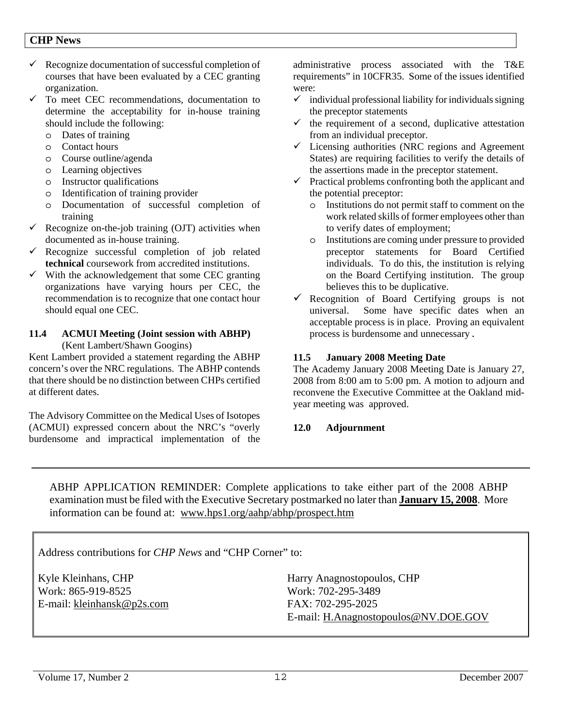- $\checkmark$  Recognize documentation of successful completion of courses that have been evaluated by a CEC granting organization.
- $\checkmark$  To meet CEC recommendations, documentation to determine the acceptability for in-house training should include the following:
	- o Dates of training
	- o Contact hours
	- o Course outline/agenda
	- o Learning objectives
	- o Instructor qualifications
	- o Identification of training provider
	- o Documentation of successful completion of training
- Recognize on-the-job training (OJT) activities when documented as in-house training.
- $\checkmark$  Recognize successful completion of job related **technical** coursework from accredited institutions.
- $\checkmark$  With the acknowledgement that some CEC granting organizations have varying hours per CEC, the recommendation is to recognize that one contact hour should equal one CEC.

### **11.4 ACMUI Meeting (Joint session with ABHP)**  (Kent Lambert/Shawn Googins)

Kent Lambert provided a statement regarding the ABHP concern's over the NRC regulations. The ABHP contends that there should be no distinction between CHPs certified at different dates.

The Advisory Committee on the Medical Uses of Isotopes (ACMUI) expressed concern about the NRC's "overly burdensome and impractical implementation of the administrative process associated with the T&E requirements" in 10CFR35. Some of the issues identified were:

- $\checkmark$  individual professional liability for individuals signing the preceptor statements
- $\checkmark$  the requirement of a second, duplicative attestation from an individual preceptor.
- $\checkmark$  Licensing authorities (NRC regions and Agreement States) are requiring facilities to verify the details of the assertions made in the preceptor statement.
- $\checkmark$  Practical problems confronting both the applicant and the potential preceptor:
	- o Institutions do not permit staff to comment on the work related skills of former employees other than to verify dates of employment;
	- o Institutions are coming under pressure to provided preceptor statements for Board Certified individuals. To do this, the institution is relying on the Board Certifying institution. The group believes this to be duplicative.
- $\checkmark$  Recognition of Board Certifying groups is not universal. Some have specific dates when an acceptable process is in place. Proving an equivalent process is burdensome and unnecessary.

### **11.5 January 2008 Meeting Date**

The Academy January 2008 Meeting Date is January 27, 2008 from 8:00 am to 5:00 pm. A motion to adjourn and reconvene the Executive Committee at the Oakland midyear meeting was approved.

### **12.0 Adjournment**

ABHP APPLICATION REMINDER: Complete applications to take either part of the 2008 ABHP examination must be filed with the Executive Secretary postmarked no later than **January 15, 2008**. More information can be found at: www.hps1.org/aahp/abhp/prospect.htm

Address contributions for *CHP News* and "CHP Corner" to:

Kyle Kleinhans, CHP Work: 865-919-8525 E-mail: kleinhansk@p2s.com Harry Anagnostopoulos, CHP Work: 702-295-3489 FAX: 702-295-2025 E-mail: H.Anagnostopoulos@NV.DOE.GOV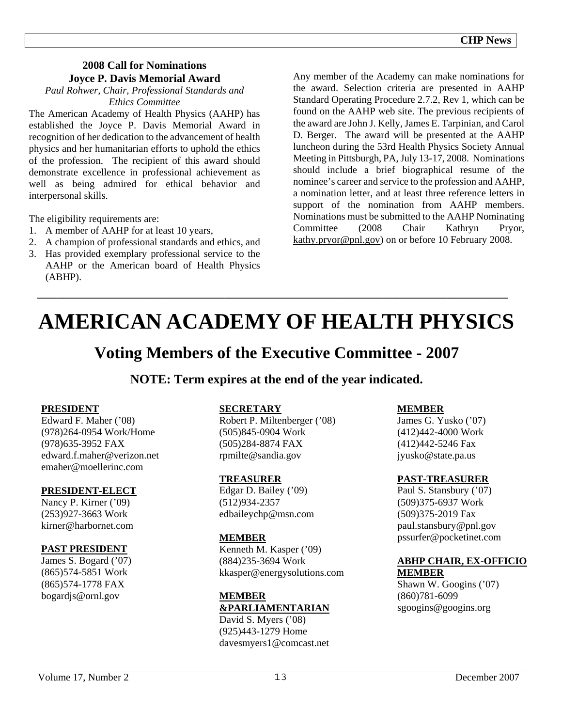### **2008 Call for Nominations Joyce P. Davis Memorial Award**

*Paul Rohwer, Chair, Professional Standards and Ethics Committee*

The American Academy of Health Physics (AAHP) has established the Joyce P. Davis Memorial Award in recognition of her dedication to the advancement of health physics and her humanitarian efforts to uphold the ethics of the profession. The recipient of this award should demonstrate excellence in professional achievement as well as being admired for ethical behavior and interpersonal skills.

The eligibility requirements are:

- 1. A member of AAHP for at least 10 years,
- 2. A champion of professional standards and ethics, and
- 3. Has provided exemplary professional service to the AAHP or the American board of Health Physics (ABHP).

Any member of the Academy can make nominations for the award. Selection criteria are presented in AAHP Standard Operating Procedure 2.7.2, Rev 1, which can be found on the AAHP web site. The previous recipients of the award are John J. Kelly, James E. Tarpinian, and Carol D. Berger. The award will be presented at the AAHP luncheon during the 53rd Health Physics Society Annual Meeting in Pittsburgh, PA, July 13-17, 2008. Nominations should include a brief biographical resume of the nominee's career and service to the profession and AAHP, a nomination letter, and at least three reference letters in support of the nomination from AAHP members. Nominations must be submitted to the AAHP Nominating Committee (2008 Chair Kathryn Pryor, kathy.pryor@pnl.gov) on or before 10 February 2008.

# **AMERICAN ACADEMY OF HEALTH PHYSICS**

**\_\_\_\_\_\_\_\_\_\_\_\_\_\_\_\_\_\_\_\_\_\_\_\_\_\_\_\_\_\_\_\_\_\_\_\_\_\_\_\_\_\_\_\_\_\_\_\_\_\_\_\_\_\_\_\_\_\_\_\_\_\_\_\_\_\_\_\_\_\_\_\_\_\_\_\_\_\_\_\_\_\_\_\_\_\_\_\_\_\_\_\_\_** 

# **Voting Members of the Executive Committee - 2007**

**NOTE: Term expires at the end of the year indicated.**

### **PRESIDENT**

Edward F. Maher ('08) (978)264-0954 Work/Home (978)635-3952 FAX edward.f.maher@verizon.net emaher@moellerinc.com

### **PRESIDENT-ELECT**

Nancy P. Kirner ('09) (253)927-3663 Work kirner@harbornet.com

### **PAST PRESIDENT**

James S. Bogard ('07) (865)574-5851 Work (865)574-1778 FAX bogardjs@ornl.gov

### **SECRETARY**

Robert P. Miltenberger ('08) (505)845-0904 Work (505)284-8874 FAX rpmilte@sandia.gov

### **TREASURER**

Edgar D. Bailey ('09) (512)934-2357 edbaileychp@msn.com

### **MEMBER**

Kenneth M. Kasper ('09) (884)235-3694 Work kkasper@energysolutions.com

# **MEMBER &PARLIAMENTARIAN**

David S. Myers ('08) (925)443-1279 Home davesmyers1@comcast.net

### **MEMBER**

James G. Yusko ('07) (412)442-4000 Work (412)442-5246 Fax jyusko@state.pa.us

### **PAST-TREASURER**

Paul S. Stansbury ('07) (509)375-6937 Work (509)375-2019 Fax paul.stansbury@pnl.gov pssurfer@pocketinet.com

### **ABHP CHAIR, EX-OFFICIO MEMBER**

Shawn W. Googins ('07) (860)781-6099 sgoogins@googins.org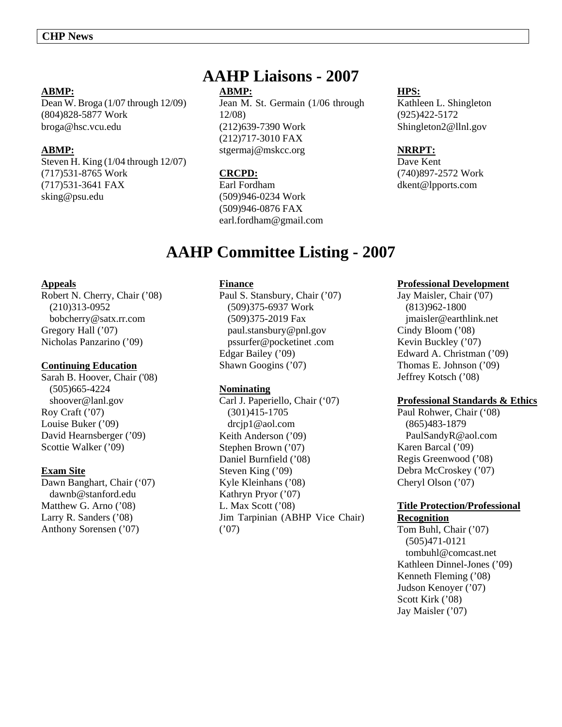### **ABMP:**

Dean W. Broga (1/07 through 12/09) (804)828-5877 Work broga@hsc.vcu.edu

### **ABMP:**

Steven H. King (1/04 through 12/07) (717)531-8765 Work (717)531-3641 FAX sking@psu.edu

# **AAHP Liaisons - 2007**

### **ABMP:**

Jean M. St. Germain (1/06 through 12/08) (212)639-7390 Work (212)717-3010 FAX stgermaj@mskcc.org

### **CRCPD:**

Earl Fordham (509)946-0234 Work (509)946-0876 FAX earl.fordham@gmail.com

### **HPS:**

Kathleen L. Shingleton (925)422-5172 Shingleton2@llnl.gov

### **NRRPT:**

Dave Kent (740)897-2572 Work dkent@lpports.com

# **AAHP Committee Listing - 2007**

### **Appeals**

Robert N. Cherry, Chair ('08) (210)313-0952 bobcherry@satx.rr.com Gregory Hall ('07) Nicholas Panzarino ('09)

### **Continuing Education**

Sarah B. Hoover, Chair ('08) (505)665-4224 shoover@lanl.gov Roy Craft ('07) Louise Buker ('09) David Hearnsberger ('09) Scottie Walker ('09)

### **Exam Site**

Dawn Banghart, Chair ('07) dawnb@stanford.edu Matthew G. Arno ('08) Larry R. Sanders ('08) Anthony Sorensen ('07)

### **Finance**

Paul S. Stansbury, Chair ('07) (509)375-6937 Work (509)375-2019 Fax paul.stansbury@pnl.gov pssurfer@pocketinet .com Edgar Bailey ('09) Shawn Googins ('07)

### **Nominating**

Carl J. Paperiello, Chair ('07) (301)415-1705 drcjp1@aol.com Keith Anderson ('09) Stephen Brown ('07) Daniel Burnfield ('08) Steven King ('09) Kyle Kleinhans ('08) Kathryn Pryor ('07) L. Max Scott ('08) Jim Tarpinian (ABHP Vice Chair) ('07)

### **Professional Development**

Jay Maisler, Chair ('07) (813)962-1800 jmaisler@earthlink.net Cindy Bloom ('08) Kevin Buckley ('07) Edward A. Christman ('09) Thomas E. Johnson ('09) Jeffrey Kotsch ('08)

### **Professional Standards & Ethics**

Paul Rohwer, Chair ('08) (865)483-1879 PaulSandyR@aol.com Karen Barcal ('09) Regis Greenwood ('08) Debra McCroskey ('07) Cheryl Olson ('07)

### **Title Protection/Professional Recognition**

Tom Buhl, Chair ('07) (505)471-0121 tombuhl@comcast.net Kathleen Dinnel-Jones ('09) Kenneth Fleming ('08) Judson Kenoyer ('07) Scott Kirk ('08) Jay Maisler ('07)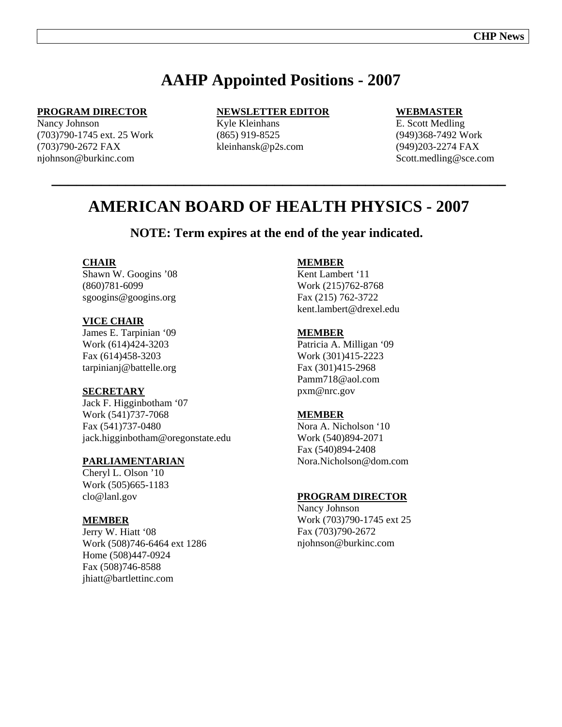# **AAHP Appointed Positions - 2007**

### **PROGRAM DIRECTOR**

Nancy Johnson (703)790-1745 ext. 25 Work (703)790-2672 FAX njohnson@burkinc.com

### **NEWSLETTER EDITOR**

Kyle Kleinhans (865) 919-8525 kleinhansk@p2s.com

### **WEBMASTER**

E. Scott Medling (949)368-7492 Work (949)203-2274 FAX Scott.medling@sce.com

# **AMERICAN BOARD OF HEALTH PHYSICS - 2007**

**\_\_\_\_\_\_\_\_\_\_\_\_\_\_\_\_\_\_\_\_\_\_\_\_\_\_\_\_\_\_\_\_\_\_\_\_\_\_\_\_\_\_\_\_\_\_\_\_\_\_\_\_\_\_\_** 

### **NOTE: Term expires at the end of the year indicated.**

### **CHAIR**

Shawn W. Googins '08 (860)781-6099 sgoogins@googins.org

### **VICE CHAIR**

James E. Tarpinian '09 Work (614)424-3203 Fax (614)458-3203 tarpinianj@battelle.org

### **SECRETARY**

Jack F. Higginbotham '07 Work (541)737-7068 Fax (541)737-0480 jack.higginbotham@oregonstate.edu

### **PARLIAMENTARIAN**

Cheryl L. Olson '10 Work (505)665-1183 clo@lanl.gov

#### **MEMBER**

Jerry W. Hiatt '08 Work (508)746-6464 ext 1286 Home (508)447-0924 Fax (508)746-8588 jhiatt@bartlettinc.com

### **MEMBER**

Kent Lambert '11 Work (215)762-8768 Fax (215) 762-3722 kent.lambert@drexel.edu

#### **MEMBER**

Patricia A. Milligan '09 Work (301)415-2223 Fax (301)415-2968 Pamm718@aol.com pxm@nrc.gov

#### **MEMBER**

Nora A. Nicholson '10 Work (540)894-2071 Fax (540)894-2408 Nora.Nicholson@dom.com

### **PROGRAM DIRECTOR**

Nancy Johnson Work (703)790-1745 ext 25 Fax (703)790-2672 njohnson@burkinc.com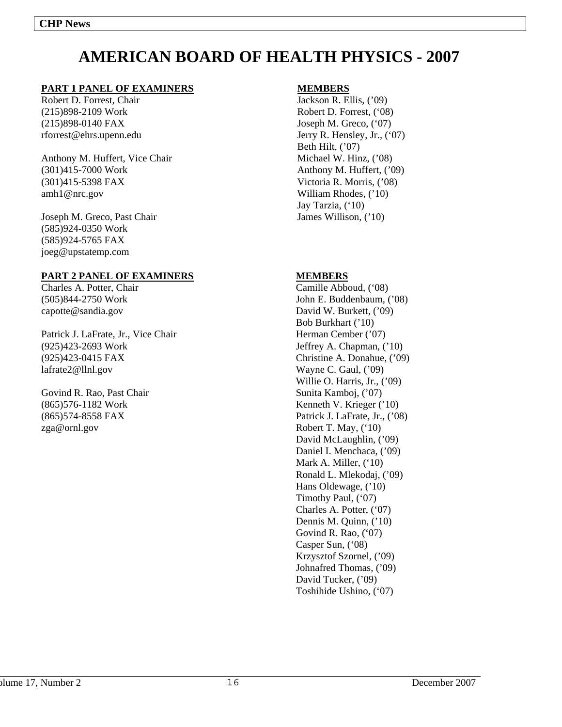# **AMERICAN BOARD OF HEALTH PHYSICS - 2007**

### **PART 1 PANEL OF EXAMINERS**

Robert D. Forrest, Chair (215)898-2109 Work (215)898-0140 FAX rforrest@ehrs.upenn.edu

Anthony M. Huffert, Vice Chair (301)415-7000 Work (301)415-5398 FAX amh1@nrc.gov

Joseph M. Greco, Past Chair (585)924-0350 Work (585)924-5765 FAX joeg@upstatemp.com

### **PART 2 PANEL OF EXAMINERS**

Charles A. Potter, Chair (505)844-2750 Work capotte@sandia.gov

Patrick J. LaFrate, Jr., Vice Chair (925)423-2693 Work (925)423-0415 FAX lafrate2@llnl.gov

Govind R. Rao, Past Chair (865)576-1182 Work (865)574-8558 FAX zga@ornl.gov

### **MEMBERS**

Jackson R. Ellis, ('09) Robert D. Forrest, ('08) Joseph M. Greco, ('07) Jerry R. Hensley, Jr., ('07) Beth Hilt, ('07) Michael W. Hinz, ('08) Anthony M. Huffert, ('09) Victoria R. Morris, ('08) William Rhodes, ('10) Jay Tarzia, ('10) James Willison, ('10)

### **MEMBERS**

Camille Abboud, ('08) John E. Buddenbaum, ('08) David W. Burkett, ('09) Bob Burkhart ('10) Herman Cember ('07) Jeffrey A. Chapman, ('10) Christine A. Donahue, ('09) Wayne C. Gaul, ('09) Willie O. Harris, Jr., ('09) Sunita Kamboj, ('07) Kenneth V. Krieger ('10) Patrick J. LaFrate, Jr., ('08) Robert T. May, ('10) David McLaughlin, ('09) Daniel I. Menchaca, ('09) Mark A. Miller, ('10) Ronald L. Mlekodaj, ('09) Hans Oldewage, ('10) Timothy Paul, ('07) Charles A. Potter, ('07) Dennis M. Quinn, ('10) Govind R. Rao, ('07) Casper Sun, ('08) Krzysztof Szornel, ('09) Johnafred Thomas, ('09) David Tucker, ('09) Toshihide Ushino, ('07)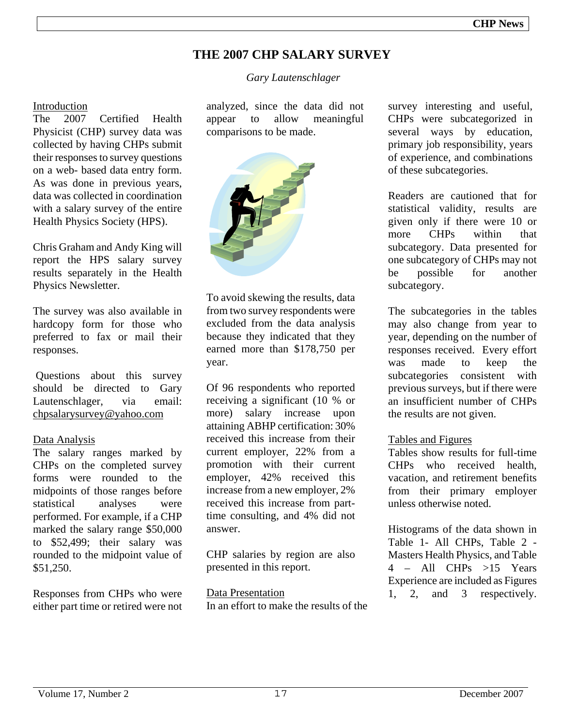# **THE 2007 CHP SALARY SURVEY**

 *Gary Lautenschlager* 

### Introduction

The 2007 Certified Health Physicist (CHP) survey data was collected by having CHPs submit their responses to survey questions on a web- based data entry form. As was done in previous years, data was collected in coordination with a salary survey of the entire Health Physics Society (HPS).

Chris Graham and Andy King will report the HPS salary survey results separately in the Health Physics Newsletter.

The survey was also available in hardcopy form for those who preferred to fax or mail their responses.

 Questions about this survey should be directed to Gary Lautenschlager, via email: chpsalarysurvey@yahoo.com

### Data Analysis

The salary ranges marked by CHPs on the completed survey forms were rounded to the midpoints of those ranges before statistical analyses were performed. For example, if a CHP marked the salary range \$50,000 to \$52,499; their salary was rounded to the midpoint value of \$51,250.

Responses from CHPs who were either part time or retired were not

analyzed, since the data did not appear to allow meaningful comparisons to be made.



To avoid skewing the results, data from two survey respondents were excluded from the data analysis because they indicated that they earned more than \$178,750 per year.

Of 96 respondents who reported receiving a significant (10 % or more) salary increase upon attaining ABHP certification: 30% received this increase from their current employer, 22% from a promotion with their current employer, 42% received this increase from a new employer, 2% received this increase from parttime consulting, and 4% did not answer.

CHP salaries by region are also presented in this report.

Data Presentation In an effort to make the results of the survey interesting and useful, CHPs were subcategorized in several ways by education, primary job responsibility, years of experience, and combinations of these subcategories.

Readers are cautioned that for statistical validity, results are given only if there were 10 or more CHPs within that subcategory. Data presented for one subcategory of CHPs may not be possible for another subcategory.

The subcategories in the tables may also change from year to year, depending on the number of responses received. Every effort was made to keep the subcategories consistent with previous surveys, but if there were an insufficient number of CHPs the results are not given.

### Tables and Figures

Tables show results for full-time CHPs who received health, vacation, and retirement benefits from their primary employer unless otherwise noted.

Histograms of the data shown in Table 1- All CHPs, Table 2 - Masters Health Physics, and Table 4 – All CHPs >15 Years Experience are included as Figures 1, 2, and 3 respectively.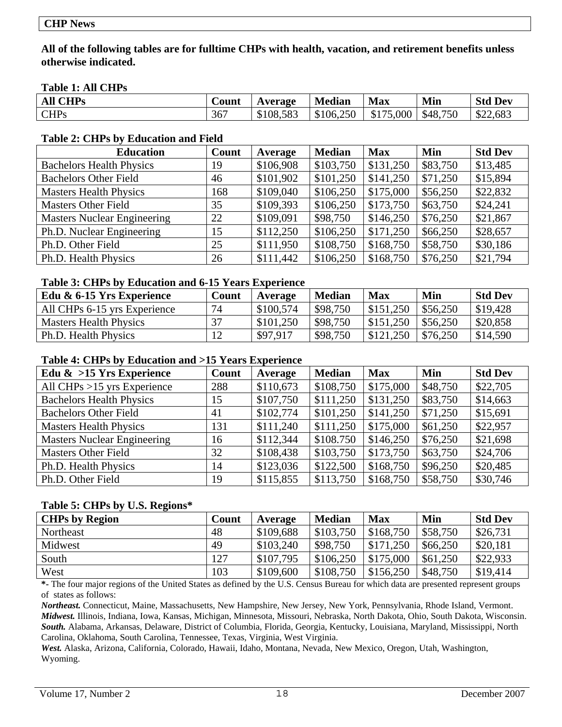**All of the following tables are for fulltime CHPs with health, vacation, and retirement benefits unless otherwise indicated.** 

### **Table 1: All CHPs**

| <b>All CHPs</b> | $\sim$<br>Count | Average   | <b>Median</b> | <b>Max</b>     | Min      | <b>Std Dev</b> |
|-----------------|-----------------|-----------|---------------|----------------|----------|----------------|
| <b>CHPs</b>     | 367             | \$108,583 | \$106,250     | .000.<br>\$175 | \$48,750 | \$22,683       |

### **Table 2: CHPs by Education and Field**

| <b>Education</b>                   | Count | Average   | <b>Median</b> | <b>Max</b> | Min      | <b>Std Dev</b> |
|------------------------------------|-------|-----------|---------------|------------|----------|----------------|
| <b>Bachelors Health Physics</b>    | 19    | \$106,908 | \$103,750     | \$131,250  | \$83,750 | \$13,485       |
| <b>Bachelors Other Field</b>       | 46    | \$101,902 | \$101,250     | \$141,250  | \$71,250 | \$15,894       |
| <b>Masters Health Physics</b>      | 168   | \$109,040 | \$106,250     | \$175,000  | \$56,250 | \$22,832       |
| <b>Masters Other Field</b>         | 35    | \$109,393 | \$106,250     | \$173,750  | \$63,750 | \$24,241       |
| <b>Masters Nuclear Engineering</b> | 22    | \$109,091 | \$98,750      | \$146,250  | \$76,250 | \$21,867       |
| Ph.D. Nuclear Engineering          | 15    | \$112,250 | \$106,250     | \$171,250  | \$66,250 | \$28,657       |
| Ph.D. Other Field                  | 25    | \$111,950 | \$108,750     | \$168,750  | \$58,750 | \$30,186       |
| Ph.D. Health Physics               | 26    | \$111,442 | \$106,250     | \$168,750  | \$76,250 | \$21,794       |

### **Table 3: CHPs by Education and 6-15 Years Experience**

| Count | Average   | <b>Median</b>         | <b>Max</b> | Min       | <b>Std Dev</b> |
|-------|-----------|-----------------------|------------|-----------|----------------|
| 74    | \$100,574 | \$98,750              |            | \$56,250  | \$19,428       |
|       |           | \$98,750              | \$151.250  | \$56,250  | \$20,858       |
|       |           | \$98,750              | \$121,250  | \$76,250  | \$14,590       |
|       |           | \$101,250<br>\$97,917 |            | \$151,250 |                |

### **Table 4: CHPs by Education and >15 Years Experience**

| Edu $\&$ >15 Yrs Experience        | Count | Average   | <b>Median</b> | <b>Max</b> | Min      | <b>Std Dev</b> |
|------------------------------------|-------|-----------|---------------|------------|----------|----------------|
| All CHPs $>15$ yrs Experience      | 288   | \$110,673 | \$108,750     | \$175,000  | \$48,750 | \$22,705       |
| <b>Bachelors Health Physics</b>    | 15    | \$107,750 | \$111,250     | \$131,250  | \$83,750 | \$14,663       |
| <b>Bachelors Other Field</b>       | 41    | \$102,774 | \$101,250     | \$141,250  | \$71,250 | \$15,691       |
| <b>Masters Health Physics</b>      | 131   | \$111,240 | \$111,250     | \$175,000  | \$61,250 | \$22,957       |
| <b>Masters Nuclear Engineering</b> | 16    | \$112,344 | \$108.750     | \$146,250  | \$76,250 | \$21,698       |
| <b>Masters Other Field</b>         | 32    | \$108,438 | \$103,750     | \$173,750  | \$63,750 | \$24,706       |
| Ph.D. Health Physics               | 14    | \$123,036 | \$122,500     | \$168,750  | \$96,250 | \$20,485       |
| Ph.D. Other Field                  | 19    | \$115,855 | \$113,750     | \$168,750  | \$58,750 | \$30,746       |

### **Table 5: CHPs by U.S. Regions\***

| $\overline{\phantom{a}}$<br><b>CHPs by Region</b> | Count | Average   | <b>Median</b> | <b>Max</b> | Min      | <b>Std Dev</b> |
|---------------------------------------------------|-------|-----------|---------------|------------|----------|----------------|
| Northeast                                         | 48    | \$109,688 | \$103,750     | \$168,750  | \$58,750 | \$26,731       |
| Midwest                                           | 49    | \$103,240 | \$98,750      | \$171,250  | \$66,250 | \$20,181       |
| South                                             | 127   | \$107,795 | \$106.250     | \$175,000  | \$61,250 | \$22,933       |
| West                                              | 103   | \$109,600 | \$108,750     | \$156,250  | \$48,750 | \$19,414       |

**\*-** The four major regions of the United States as defined by the U.S. Census Bureau for which data are presented represent groups of states as follows:

*Northeast.* Connecticut, Maine, Massachusetts, New Hampshire, New Jersey, New York, Pennsylvania, Rhode Island, Vermont. *Midwest.* Illinois, Indiana, Iowa, Kansas, Michigan, Minnesota, Missouri, Nebraska, North Dakota, Ohio, South Dakota, Wisconsin. *South.* Alabama, Arkansas, Delaware, District of Columbia, Florida, Georgia, Kentucky, Louisiana, Maryland, Mississippi, North Carolina, Oklahoma, South Carolina, Tennessee, Texas, Virginia, West Virginia.

*West.* Alaska, Arizona, California, Colorado, Hawaii, Idaho, Montana, Nevada, New Mexico, Oregon, Utah, Washington, Wyoming.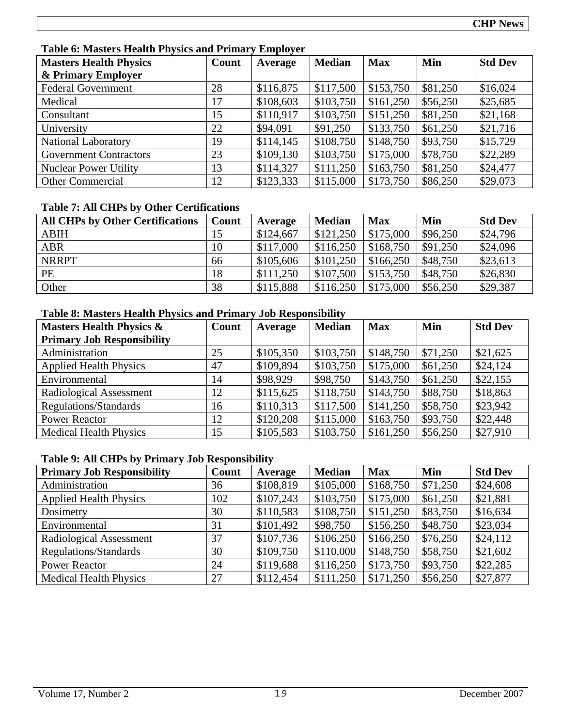### **Table 6: Masters Health Physics and Primary Employer**

| <b>Masters Health Physics</b> | Count | Average   | <b>Median</b> | <b>Max</b> | Min      | <b>Std Dev</b> |
|-------------------------------|-------|-----------|---------------|------------|----------|----------------|
| & Primary Employer            |       |           |               |            |          |                |
| <b>Federal Government</b>     | 28    | \$116,875 | \$117,500     | \$153,750  | \$81,250 | \$16,024       |
| Medical                       | 17    | \$108,603 | \$103,750     | \$161,250  | \$56,250 | \$25,685       |
| Consultant                    | 15    | \$110,917 | \$103,750     | \$151,250  | \$81,250 | \$21,168       |
| University                    | 22    | \$94,091  | \$91,250      | \$133,750  | \$61,250 | \$21,716       |
| <b>National Laboratory</b>    | 19    | \$114,145 | \$108,750     | \$148,750  | \$93,750 | \$15,729       |
| <b>Government Contractors</b> | 23    | \$109,130 | \$103,750     | \$175,000  | \$78,750 | \$22,289       |
| <b>Nuclear Power Utility</b>  | 13    | \$114,327 | \$111,250     | \$163,750  | \$81,250 | \$24,477       |
| <b>Other Commercial</b>       | 12    | \$123,333 | \$115,000     | \$173,750  | \$86,250 | \$29,073       |

### **Table 7: All CHPs by Other Certifications**

| <b>All CHPs by Other Certifications</b> | Count | Average   | <b>Median</b> | <b>Max</b> | Min      | <b>Std Dev</b> |
|-----------------------------------------|-------|-----------|---------------|------------|----------|----------------|
| <b>ABIH</b>                             | 15    | \$124,667 | \$121,250     | \$175,000  | \$96,250 | \$24,796       |
| <b>ABR</b>                              | 10    | \$117,000 | \$116,250     | \$168,750  | \$91,250 | \$24,096       |
| <b>NRRPT</b>                            | 66    | \$105,606 | \$101,250     | \$166,250  | \$48,750 | \$23,613       |
| PE                                      | 18    | \$111,250 | \$107,500     | \$153,750  | \$48,750 | \$26,830       |
| Other                                   | 38    | \$115,888 | \$116,250     | \$175,000  | \$56,250 | \$29,387       |

### **Table 8: Masters Health Physics and Primary Job Responsibility**

| <b>Masters Health Physics &amp;</b> | Count | Average   | <b>Median</b> | <b>Max</b> | Min      | <b>Std Dev</b> |
|-------------------------------------|-------|-----------|---------------|------------|----------|----------------|
| <b>Primary Job Responsibility</b>   |       |           |               |            |          |                |
| Administration                      | 25    | \$105,350 | \$103,750     | \$148,750  | \$71,250 | \$21,625       |
| <b>Applied Health Physics</b>       | 47    | \$109,894 | \$103,750     | \$175,000  | \$61,250 | \$24,124       |
| Environmental                       | 14    | \$98,929  | \$98,750      | \$143,750  | \$61,250 | \$22,155       |
| Radiological Assessment             | 12    | \$115,625 | \$118,750     | \$143,750  | \$88,750 | \$18,863       |
| Regulations/Standards               | 16    | \$110,313 | \$117,500     | \$141,250  | \$58,750 | \$23,942       |
| <b>Power Reactor</b>                | 12    | \$120,208 | \$115,000     | \$163,750  | \$93,750 | \$22,448       |
| <b>Medical Health Physics</b>       | 15    | \$105,583 | \$103,750     | \$161,250  | \$56,250 | \$27,910       |

### **Table 9: All CHPs by Primary Job Responsibility**

| <b>Primary Job Responsibility</b> | Count | Average   | <b>Median</b> | <b>Max</b> | Min      | <b>Std Dev</b> |
|-----------------------------------|-------|-----------|---------------|------------|----------|----------------|
| Administration                    | 36    | \$108,819 | \$105,000     | \$168,750  | \$71,250 | \$24,608       |
| <b>Applied Health Physics</b>     | 102   | \$107,243 | \$103,750     | \$175,000  | \$61,250 | \$21,881       |
| Dosimetry                         | 30    | \$110,583 | \$108,750     | \$151,250  | \$83,750 | \$16,634       |
| Environmental                     | 31    | \$101,492 | \$98,750      | \$156,250  | \$48,750 | \$23,034       |
| Radiological Assessment           | 37    | \$107,736 | \$106,250     | \$166,250  | \$76,250 | \$24,112       |
| Regulations/Standards             | 30    | \$109,750 | \$110,000     | \$148,750  | \$58,750 | \$21,602       |
| <b>Power Reactor</b>              | 24    | \$119,688 | \$116,250     | \$173,750  | \$93,750 | \$22,285       |
| <b>Medical Health Physics</b>     | 27    | \$112,454 | \$111,250     | \$171,250  | \$56,250 | \$27,877       |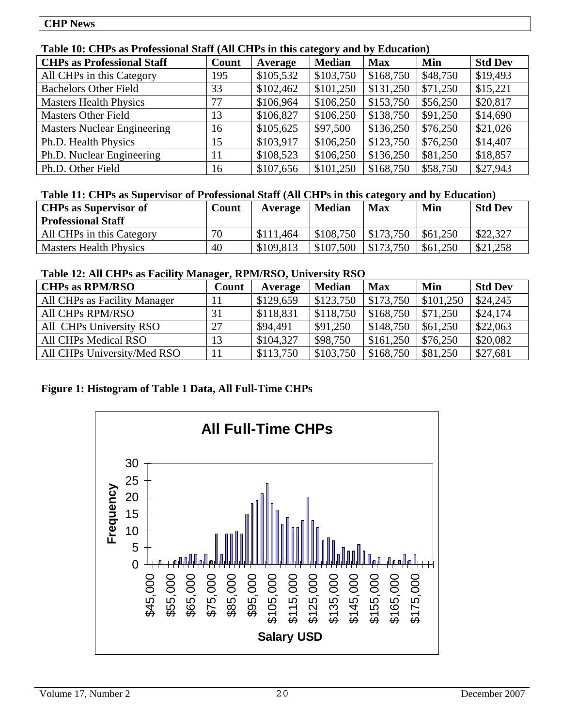### **Table 10: CHPs as Professional Staff (All CHPs in this category and by Education)**

| <b>CHPs as Professional Staff</b>  | Count | Average   | <b>Median</b> | <b>Max</b> | Min      | <b>Std Dev</b> |
|------------------------------------|-------|-----------|---------------|------------|----------|----------------|
| All CHPs in this Category          | 195   | \$105,532 | \$103,750     | \$168,750  | \$48,750 | \$19,493       |
| <b>Bachelors Other Field</b>       | 33    | \$102,462 | \$101,250     | \$131,250  | \$71,250 | \$15,221       |
| <b>Masters Health Physics</b>      | 77    | \$106,964 | \$106,250     | \$153,750  | \$56,250 | \$20,817       |
| <b>Masters Other Field</b>         | 13    | \$106,827 | \$106,250     | \$138,750  | \$91,250 | \$14,690       |
| <b>Masters Nuclear Engineering</b> | 16    | \$105,625 | \$97,500      | \$136,250  | \$76,250 | \$21,026       |
| Ph.D. Health Physics               | 15    | \$103,917 | \$106,250     | \$123,750  | \$76,250 | \$14,407       |
| Ph.D. Nuclear Engineering          | 11    | \$108,523 | \$106,250     | \$136,250  | \$81,250 | \$18,857       |
| Ph.D. Other Field                  | 16    | \$107,656 | \$101,250     | \$168,750  | \$58,750 | \$27,943       |

### **Table 11: CHPs as Supervisor of Professional Staff (All CHPs in this category and by Education)**

| <b>CHPs as Supervisor of</b><br><b>Professional Staff</b> | Count | Average   | <b>Median</b> | <b>Max</b> | Min      | <b>Std Dev</b> |
|-----------------------------------------------------------|-------|-----------|---------------|------------|----------|----------------|
| All CHPs in this Category                                 | 70    | \$111,464 | \$108.750     | \$173,750  | \$61,250 | \$22,327       |
| <b>Masters Health Physics</b>                             | 40    | \$109,813 | \$107.500     | \$173,750  | \$61,250 | \$21,258       |

### **Table 12: All CHPs as Facility Manager, RPM/RSO, University RSO**

| <b>CHPs as RPM/RSO</b>       | Count | Average   | <b>Median</b> | <b>Max</b> | Min       | <b>Std Dev</b> |
|------------------------------|-------|-----------|---------------|------------|-----------|----------------|
| All CHPs as Facility Manager | 11    | \$129,659 | \$123,750     | \$173,750  | \$101,250 | \$24,245       |
| All CHPs RPM/RSO             |       | \$118,831 | \$118,750     | \$168,750  | \$71,250  | \$24,174       |
| All CHPs University RSO      | 27    | \$94,491  | \$91,250      | \$148,750  | \$61,250  | \$22,063       |
| All CHPs Medical RSO         | 13    | \$104,327 | \$98,750      | \$161,250  | \$76,250  | \$20,082       |
| All CHPs University/Med RSO  | 11    | \$113,750 | \$103,750     | \$168,750  | \$81,250  | \$27,681       |

### **Figure 1: Histogram of Table 1 Data, All Full-Time CHPs**